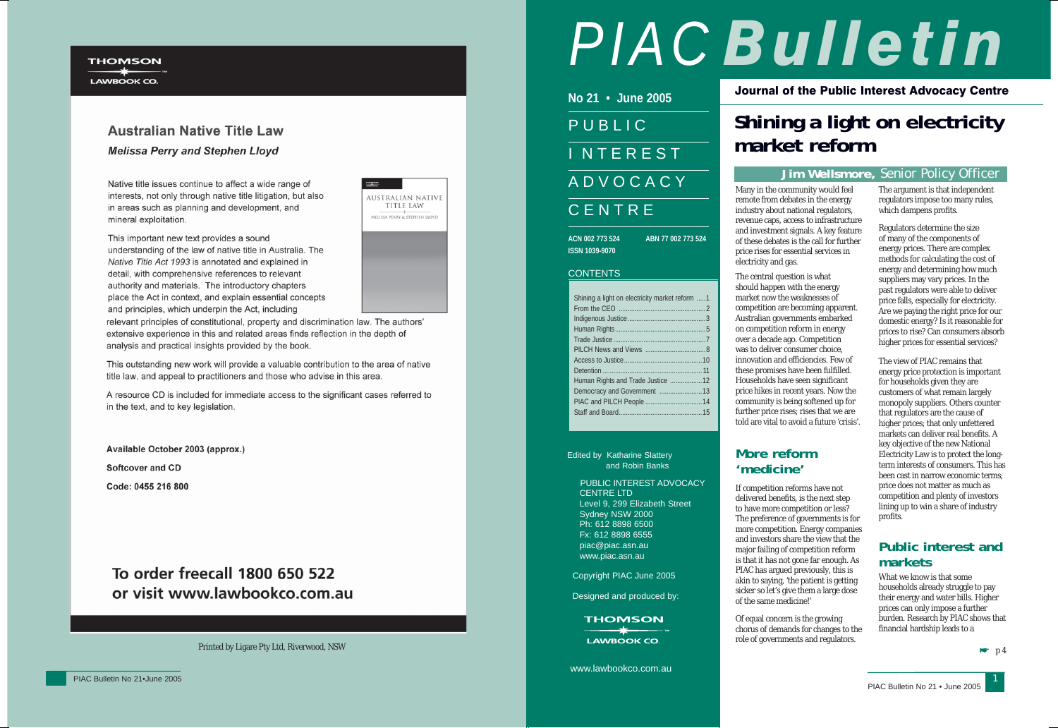#### **THOMSON**

LAWBOOK CO.

## **Australian Native Title Law Melissa Perry and Stephen Lloyd**

Native title issues continue to affect a wide range of interests, not only through native title litigation, but also in areas such as planning and development, and mineral exploitation.

This important new text provides a sound understanding of the law of native title in Australia. The Native Title Act 1993 is annotated and explained in detail, with comprehensive references to relevant authority and materials. The introductory chapters place the Act in context, and explain essential concepts and principles, which underpin the Act, including

relevant principles of constitutional, property and discrimination law. The authors' extensive experience in this and related areas finds reflection in the depth of analysis and practical insights provided by the book.

This outstanding new work will provide a valuable contribution to the area of native title law, and appeal to practitioners and those who advise in this area.

A resource CD is included for immediate access to the significant cases referred to in the text, and to key legislation.

Available October 2003 (approx.) **Softcover and CD** 

Code: 0455 216 800

# To order freecall 1800 650 522 or visit www.lawbookco.com.au



| AUSTRALIAN NATIVE<br><b>TITLE LAW</b> |
|---------------------------------------|
| MELISSA PERRY & STEPHEN LLOYD         |
|                                       |
|                                       |
|                                       |

Printed by Ligare Pty Ltd, Riverwood, NSW

Journal of the Public Interest Advocacy Centre

Edited by Katharine Slattery and Robin Banks

> PUBLIC INTEREST ADVOCACY CENTRE LTD Level 9, 299 Elizabeth Street Sydney NSW 2000 Ph: 612 8898 6500 Fx: 612 8898 6555 piac@piac.asn.au www.piac.asn.au

Copyright PIAC June 2005

Designed and produced by:

**THOMSON**  $\rightarrow \rightarrow \rightarrow$ 

**LAWBOOK CO.** 

www.lawbookco.com.au

**No 21 • June 2005**PUBLIC**INTEREST** ADVOCACY CENTRE

**ACN 002 773 524 ABN 77 002 773 524ISSN 1039-9070**

#### CONTENTS

| Shining a light on electricity market reform 1 |  |
|------------------------------------------------|--|
|                                                |  |
|                                                |  |
|                                                |  |
|                                                |  |
|                                                |  |
|                                                |  |
|                                                |  |
| Human Rights and Trade Justice  12             |  |
|                                                |  |
|                                                |  |
|                                                |  |
|                                                |  |

# **Shining a light on electricity market reform**

#### **Jim Wellsmore,** Senior Policy Officer



Many in the community would feel remote from debates in the energy industry about national regulators, revenue caps, access to infrastructure and investment signals. A key feature of these debates is the call for further price rises for essential services in electricity and gas.

The central question is what should happen with the energy market now the weaknesses of competition are becoming apparent. Australian governments embarked on competition reform in energy over a decade ago. Competition was to deliver consumer choice, innovation and efficiencies. Few of these promises have been fulfilled. Households have seen significant price hikes in recent years. Now the community is being softened up for further price rises; rises that we are told are vital to avoid a future 'crisis'.

## **More reform 'medicine'**

If competition reforms have not delivered benefits, is the next step to have more competition or less? The preference of governments is for more competition. Energy companies and investors share the view that the major failing of competition reform is that it has not gone far enough. As PIAC has argued previously, this is akin to saying, 'the patient is getting sicker so let's give them a large dose of the same medicine!'

Of equal concern is the growing chorus of demands for changes to the role of governments and regulators.

The argument is that independent regulators impose too many rules, which dampens profits.

Regulators determine the size of many of the components of energy prices. There are complex methods for calculating the cost of energy and determining how much suppliers may vary prices. In the past regulators were able to deliver price falls, especially for electricity. Are we paying the right price for our domestic energy? Is it reasonable for prices to rise? Can consumers absorb higher prices for essential services?

The view of PIAC remains that energy price protection is important for households given they are customers of what remain largely monopoly suppliers. Others counter that regulators are the cause of higher prices; that only unfettered markets can deliver real benefits. A key objective of the new National Electricity Law is to protect the longterm interests of consumers. This has been cast in narrow economic terms; price does not matter as much as competition and plenty of investors lining up to win a share of industry profits.

## **Public interest and markets**

What we know is that some households already struggle to pay their energy and water bills. Higher prices can only impose a further burden. Research by PIAC shows that financial hardship leads to a

 $\blacktriangleright$  p 4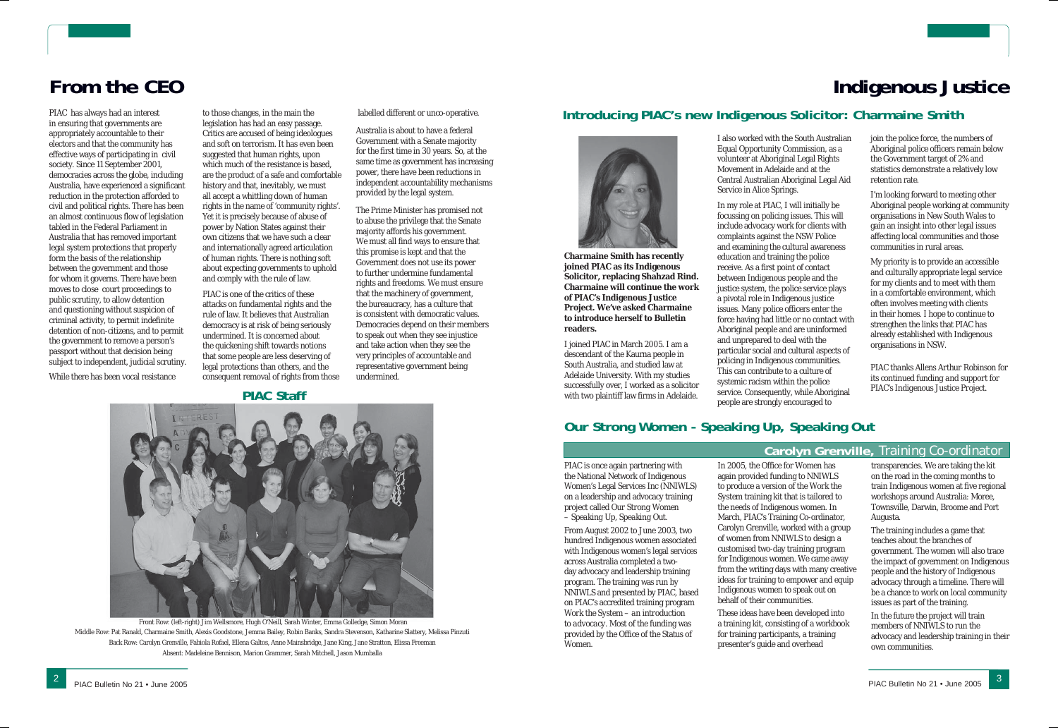# **From the CEO**

PIAC has always had an interest in ensuring that governments are appropriately accountable to their electors and that the community has effective ways of participating in civil society. Since 11 September 2001, democracies across the globe, including Australia, have experienced a significant reduction in the protection afforded to civil and political rights. There has been an almost continuous flow of legislation tabled in the Federal Parliament in Australia that has removed important legal system protections that properly form the basis of the relationship between the government and those for whom it governs. There have been moves to close court proceedings to public scrutiny, to allow detention and questioning without suspicion of criminal activity, to permit indefinite detention of non-citizens, and to permit the government to remove a person's passport without that decision being subject to independent, judicial scrutiny.

While there has been vocal resistance

to those changes, in the main the legislation has had an easy passage. Critics are accused of being ideologues and soft on terrorism. It has even been suggested that human rights, upon which much of the resistance is based, are the product of a safe and comfortable history and that, inevitably, we must all accept a whittling down of human rights in the name of 'community rights'. Yet it is precisely because of abuse of power by Nation States against their own citizens that we have such a clear and internationally agreed articulation of human rights. There is nothing soft about expecting governments to uphold and comply with the rule of law.

PIAC is one of the critics of these attacks on fundamental rights and the rule of law. It believes that Australian democracy is at risk of being seriously undermined. It is concerned about the quickening shift towards notions that some people are less deserving of legal protections than others, and the consequent removal of rights from those labelled different or unco-operative.

Australia is about to have a federal Government with a Senate majority for the first time in 30 years. So, at the same time as government has increasing power, there have been reductions in independent accountability mechanisms provided by the legal system.

The Prime Minister has promised not to abuse the privilege that the Senate majority affords his government. We must all find ways to ensure that this promise is kept and that the Government does not use its power to further undermine fundamental rights and freedoms. We must ensure that the machinery of government, the bureaucracy, has a culture that is consistent with democratic values. Democracies depend on their members to speak out when they see injustice and take action when they see the very principles of accountable and representative government being undermined.

#### **PIAC Staff**



 Front Row: (left-right) Jim Wellsmore, Hugh O'Neill, Sarah Winter, Emma Golledge, Simon Moran Middle Row: Pat Ranald, Charmaine Smith, Alexis Goodstone, Jemma Bailey, Robin Banks, Sandra Stevenson, Katharine Slattery, Melissa Pinzuti Back Row: Carolyn Grenville, Fabiola Rofael, Ellena Galtos, Anne Mainsbridge, Jane King, Jane Stratton, Elissa Freeman Absent: Madeleine Bennison, Marion Grammer, Sarah Mitchell, Jason Mumballa

# **Indigenous Justice**

### **Introducing PIAC's new Indigenous Solicitor: Charmaine Smith**



**Charmaine Smith has recently joined PIAC as its Indigenous Solicitor, replacing Shahzad Rind. Charmaine will continue the work of PIAC's Indigenous Justice Project. We've asked Charmaine to introduce herself to Bulletin readers.**

I joined PIAC in March 2005. I am a descendant of the Kaurna people in South Australia, and studied law at Adelaide University. With my studies successfully over, I worked as a solicitor with two plaintiff law firms in Adelaide.

I also worked with the South Australian Equal Opportunity Commission, as a volunteer at Aboriginal Legal Rights Central Australian Aboriginal Legal Aid

Movement in Adelaide and at the Service in Alice Springs.

In my role at PIAC, I will initially be focussing on policing issues. This will include advocacy work for clients with complaints against the NSW Police and examining the cultural awareness education and training the police receive. As a first point of contact between Indigenous people and the justice system, the police service plays a pivotal role in Indigenous justice issues. Many police officers enter the force having had little or no contact with Aboriginal people and are uninformed and unprepared to deal with the particular social and cultural aspects of policing in Indigenous communities. This can contribute to a culture of systemic racism within the police service. Consequently, while Aboriginal people are strongly encouraged to

join the police force, the numbers of Aboriginal police officers remain below the Government target of 2% and statistics demonstrate a relatively low retention rate.

I'm looking forward to meeting other Aboriginal people working at community organisations in New South Wales to gain an insight into other legal issues affecting local communities and those communities in rural areas.

My priority is to provide an accessible and culturally appropriate legal service for my clients and to meet with them in a comfortable environment, which often involves meeting with clients in their homes. I hope to continue to strengthen the links that PIAC has already established with Indigenous organisations in NSW.

*PIAC thanks Allens Arthur Robinson for its continued funding and support for PIAC's Indigenous Justice Project.*

#### **Carolyn Grenville,** Training Co-ordinator

# **Our Strong Women - Speaking Up, Speaking Out**

PIAC is once again partnering with the National Network of Indigenous Women's Legal Services Inc (NNIWLS) on a leadership and advocacy training project called *Our Strong Women – Speaking Up, Speaking Out*.

From August 2002 to June 2003, two hundred Indigenous women associated with Indigenous women's legal services across Australia completed a twoday advocacy and leadership training program. The training was run by NNIWLS and presented by PIAC, based on PIAC's accredited training program *Work the System – an introduction to advocacy*. Most of the funding was provided by the Office of the Status of Women.

In 2005, the Office for Women has again provided funding to NNIWLS to produce a version of the *Work the System* training kit that is tailored to the needs of Indigenous women. In March, PIAC's Training Co-ordinator, Carolyn Grenville, worked with a group of women from NNIWLS to design a customised two-day training program for Indigenous women. We came away from the writing days with many creative ideas for training to empower and equip Indigenous women to speak out on behalf of their communities.

These ideas have been developed into a training kit, consisting of a workbook for training participants, a training presenter's guide and overhead

transparencies. We are taking the kit on the road in the coming months to train Indigenous women at five regional workshops around Australia: Moree, Townsville, Darwin, Broome and Port Augusta.

The training includes a game that teaches about the branches of government. The women will also trace the impact of government on Indigenous people and the history of Indigenous advocacy through a timeline. There will be a chance to work on local community issues as part of the training.

In the future the project will train members of NNIWLS to run the advocacy and leadership training in their own communities.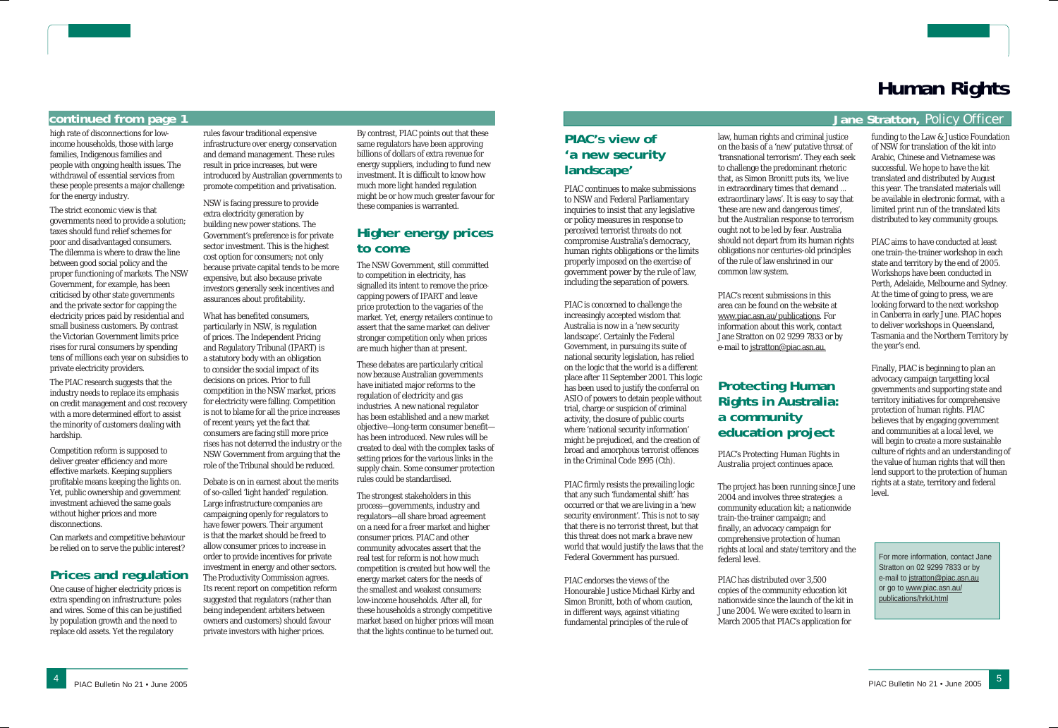#### **continued from page 1**

high rate of disconnections for lowincome households, those with large families, Indigenous families and people with ongoing health issues. The withdrawal of essential services from these people presents a major challenge for the energy industry.

The strict economic view is that governments need to provide a solution; taxes should fund relief schemes for poor and disadvantaged consumers. The dilemma is where to draw the line between good social policy and the proper functioning of markets. The NSW Government, for example, has been criticised by other state governments and the private sector for capping the electricity prices paid by residential and small business customers. By contrast the Victorian Government limits price rises for rural consumers by spending tens of millions each year on subsidies to private electricity providers.

The PIAC research suggests that the industry needs to replace its emphasis on credit management and cost recovery with a more determined effort to assist the minority of customers dealing with hardship.

Competition reform is supposed to deliver greater efficiency and more effective markets. Keeping suppliers profitable means keeping the lights on. Yet, public ownership and government investment achieved the same goals without higher prices and more disconnections.

Can markets and competitive behaviour be relied on to serve the public interest?

#### **Prices and regulation**

One cause of higher electricity prices is extra spending on infrastructure: poles and wires. Some of this can be justified by population growth and the need to replace old assets. Yet the regulatory

rules favour traditional expensive infrastructure over energy conservation and demand management. These rules result in price increases, but were introduced by Australian governments to promote competition and privatisation.

NSW is facing pressure to provide extra electricity generation by building new power stations. The Government's preference is for private sector investment. This is the highest cost option for consumers; not only because private capital tends to be more expensive, but also because private investors generally seek incentives and assurances about profitability.

What has benefited consumers, particularly in NSW, is regulation of prices. The Independent Pricing and Regulatory Tribunal (IPART) is a statutory body with an obligation to consider the social impact of its decisions on prices. Prior to full competition in the NSW market, prices for electricity were falling. Competition is not to blame for all the price increases of recent years; yet the fact that consumers are facing still more price rises has not deterred the industry or the NSW Government from arguing that the role of the Tribunal should be reduced.

Debate is on in earnest about the merits of so-called 'light handed' regulation. Large infrastructure companies are campaigning openly for regulators to have fewer powers. Their argument is that the market should be freed to allow consumer prices to increase in order to provide incentives for private investment in energy and other sectors. The Productivity Commission agrees. Its recent report on competition reform suggested that regulators (rather than being independent arbiters between owners and customers) should favour private investors with higher prices.

By contrast, PIAC points out that these same regulators have been approving billions of dollars of extra revenue for energy suppliers, including to fund new investment. It is difficult to know how much more light handed regulation might be or how much greater favour for these companies is warranted.

> PIAC's recent submissions in this area can be found on the website at www.piac.asn.au/publications. For information about this work, contact Jane Stratton on 02 9299 7833 or by e-mail to jstratton@piac.asn.au.

## **Higher energy prices to come**

The NSW Government, still committed to competition in electricity, has signalled its intent to remove the pricecapping powers of IPART and leave price protection to the vagaries of the market. Yet, energy retailers continue to assert that the same market can deliver stronger competition only when prices are much higher than at present.

These debates are particularly critical now because Australian governments have initiated major reforms to the regulation of electricity and gas industries. A new national regulator has been established and a new market objective—long-term consumer benefit has been introduced. New rules will be created to deal with the complex tasks of setting prices for the various links in the supply chain. Some consumer protection rules could be standardised.

The strongest stakeholders in this process—governments, industry and regulators—all share broad agreement on a need for a freer market and higher consumer prices. PIAC and other community advocates assert that the real test for reform is not how much competition is created but how well the energy market caters for the needs of the smallest and weakest consumers: low-income households. After all, for these households a strongly competitive market based on higher prices will mean that the lights continue to be turned out.

For more information, contact Jane Stratton on 02 9299 7833 or by e-mail to jstratton@piac.asn.au or go to www.piac.asn.au/ publications/hrkit.html

# **Human Rights**

#### **Jane Stratton,** Policy Officer

#### **PIAC's view of 'a new security landscape'**

PIAC continues to make submissions to NSW and Federal Parliamentary inquiries to insist that any legislative or policy measures in response to perceived terrorist threats do not compromise Australia's democracy, human rights obligations or the limits properly imposed on the exercise of government power by the rule of law, including the separation of powers.

PIAC is concerned to challenge the increasingly accepted wisdom that Australia is now in a 'new security landscape'. Certainly the Federal Government, in pursuing its suite of national security legislation, has relied on the logic that the world is a different place after 11 September 2001. This logic has been used to justify the conferral on ASIO of powers to detain people without trial, charge or suspicion of criminal activity, the closure of public courts where 'national security information' might be prejudiced, and the creation of broad and amorphous terrorist offences in the *Criminal Code 1995* (Cth).

PIAC firmly resists the prevailing logic that any such 'fundamental shift' has occurred or that we are living in a 'new security environment'. This is not to say that there is no terrorist threat, but that this threat does not mark a brave new world that would justify the laws that the Federal Government has pursued.

PIAC endorses the views of the Honourable Justice Michael Kirby and Simon Bronitt, both of whom caution, in different ways, against vitiating fundamental principles of the rule of

law, human rights and criminal justice on the basis of a 'new' putative threat of 'transnational terrorism'. They each seek to challenge the predominant rhetoric that, as Simon Bronitt puts its, 'we live in extraordinary times that demand ... extraordinary laws'. It is easy to say that 'these are new and dangerous times', but the Australian response to terrorism ought not to be led by fear. Australia should not depart from its human rights obligations nor centuries-old principles of the rule of law enshrined in our common law system.

## **Protecting Human Rights in Australia: a community education project**

PIAC's *Protecting Human Rights in Australia* project continues apace.

The project has been running since June 2004 and involves three strategies: a community education kit; a nationwide train-the-trainer campaign; and finally, an advocacy campaign for comprehensive protection of human rights at local and state/territory and the federal level.

PIAC has distributed over 3,500 copies of the community education kit nationwide since the launch of the kit in June 2004. We were excited to learn in March 2005 that PIAC's application for

funding to the Law & Justice Foundation of NSW for translation of the kit into Arabic, Chinese and Vietnamese was successful. We hope to have the kit translated and distributed by August this year. The translated materials will be available in electronic format, with a limited print run of the translated kits distributed to key community groups.

PIAC aims to have conducted at least one train-the-trainer workshop in each state and territory by the end of 2005. Workshops have been conducted in Perth, Adelaide, Melbourne and Sydney. At the time of going to press, we are looking forward to the next workshop in Canberra in early June. PIAC hopes to deliver workshops in Queensland, Tasmania and the Northern Territory by the year's end.

Finally, PIAC is beginning to plan an advocacy campaign targetting local governments and supporting state and territory initiatives for comprehensive protection of human rights. PIAC believes that by engaging government and communities at a local level, we will begin to create a more sustainable culture of rights and an understanding of the value of human rights that will then lend support to the protection of human rights at a state, territory and federal level.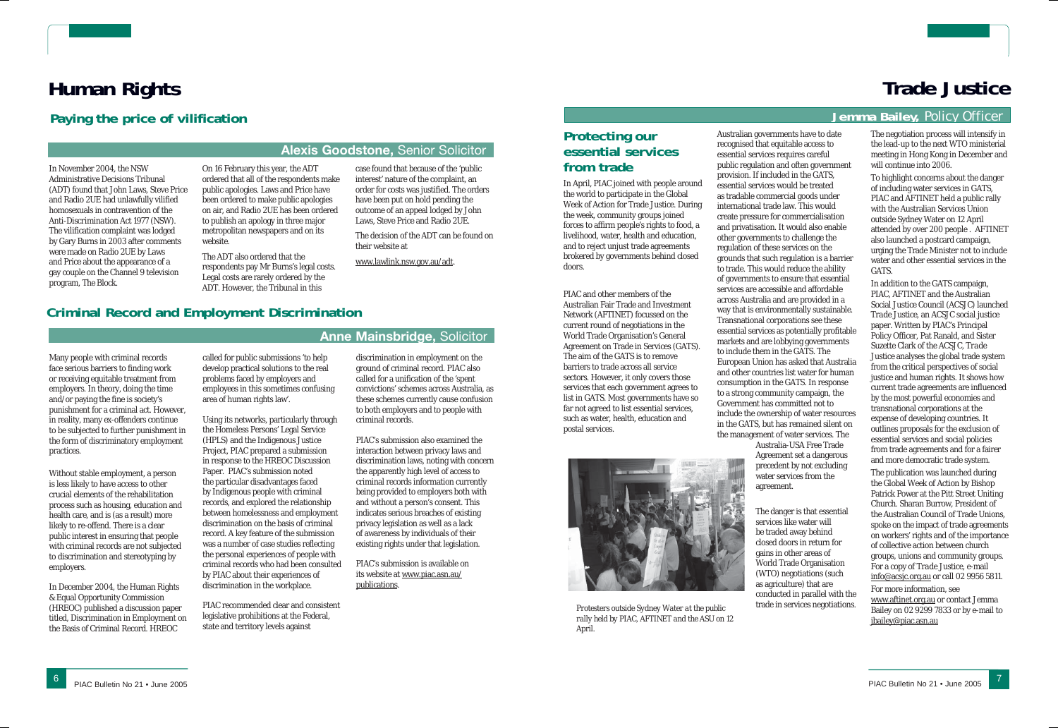# **Human Rights**

#### **Alexis Goodstone,** Senior Solicitor

**Anne Mainsbridge,** Solicitor

## **Criminal Record and Employment Discrimination**

#### Many people with criminal records face serious barriers to finding work or receiving equitable treatment from employers. In theory, doing the time and/or paying the fine is society's punishment for a criminal act. However, in reality, many ex-offenders continue to be subjected to further punishment in the form of discriminatory employment practices.

Without stable employment, a person is less likely to have access to other crucial elements of the rehabilitation process such as housing, education and health care, and is (as a result) more likely to re-offend. There is a clear public interest in ensuring that people with criminal records are not subjected to discrimination and stereotyping by employers.

In December 2004, the Human Rights & Equal Opportunity Commission (HREOC) published a discussion paper titled, Discrimination in Employment on the Basis of Criminal Record. HREOC

#### called for public submissions 'to help develop practical solutions to the real problems faced by employers and employees in this sometimes confusing area of human rights law'.

Using its networks, particularly through the Homeless Persons' Legal Service (HPLS) and the Indigenous Justice Project, PIAC prepared a submission in response to the HREOC Discussion Paper. PIAC's submission noted the particular disadvantages faced by Indigenous people with criminal records, and explored the relationship between homelessness and employment discrimination on the basis of criminal record. A key feature of the submission was a number of case studies reflecting the personal experiences of people with criminal records who had been consulted by PIAC about their experiences of discrimination in the workplace.

PIAC recommended clear and consistent legislative prohibitions at the Federal, state and territory levels against

discrimination in employment on the ground of criminal record. PIAC also called for a unification of the 'spent convictions' schemes across Australia, as these schemes currently cause confusion to both employers and to people with criminal records.

PIAC's submission also examined the interaction between privacy laws and discrimination laws, noting with concern the apparently high level of access to criminal records information currently being provided to employers both with and without a person's consent. This indicates serious breaches of existing privacy legislation as well as a lack of awareness by individuals of their existing rights under that legislation.

PIAC's submission is available on its website at www.piac.asn.au/ publications.

In November 2004, the NSW Administrative Decisions Tribunal (ADT) found that John Laws, Steve Price and Radio 2UE had unlawfully vilified homosexuals in contravention of the *Anti-Discrimination Act 1977* (NSW). The vilification complaint was lodged by Gary Burns in 2003 after comments were made on Radio 2UE by Laws and Price about the appearance of a gay couple on the Channel 9 television program, *The Block*.

On 16 February this year, the ADT ordered that all of the respondents make public apologies. Laws and Price have been ordered to make public apologies on air, and Radio 2UE has been ordered to publish an apology in three major metropolitan newspapers and on its website.

The ADT also ordered that the respondents pay Mr Burns's legal costs. Legal costs are rarely ordered by the ADT. However, the Tribunal in this

case found that because of the 'public interest' nature of the complaint, an order for costs was justified. The orders have been put on hold pending the outcome of an appeal lodged by John Laws, Steve Price and Radio 2UE.

The decision of the ADT can be found on their website at

www.lawlink.nsw.gov.au/adt.

### **Paying the price of vilification**

# **Trade Justice**

#### **Jemma Bailey,** Policy Officer

#### **Protecting our essential services from trade**

In April, PIAC joined with people around the world to participate in the Global Week of Action for Trade Justice. During the week, community groups joined forces to affirm people's rights to food, a livelihood, water, health and education, and to reject unjust trade agreements brokered by governments behind closed doors.

PIAC and other members of the Australian Fair Trade and Investment Network (AFTINET) focussed on the current round of negotiations in the World Trade Organisation's General Agreement on Trade in Services (GATS). The aim of the GATS is to remove barriers to trade across all service sectors. However, it only covers those services that each government agrees to list in GATS. Most governments have so far not agreed to list essential services, such as water, health, education and postal services.



Australian governments have to date recognised that equitable access to essential services requires careful public regulation and often government provision. If included in the GATS, essential services would be treated as tradable commercial goods under international trade law. This would create pressure for commercialisation and privatisation. It would also enable other governments to challenge the regulation of these services on the grounds that such regulation is a barrier to trade. This would reduce the ability of governments to ensure that essential services are accessible and affordable across Australia and are provided in a way that is environmentally sustainable. Transnational corporations see these essential services as potentially profitable markets and are lobbying governments to include them in the GATS. The European Union has asked that Australia and other countries list water for human consumption in the GATS. In response to a strong community campaign, the Government has committed not to include the ownership of water resources in the GATS, but has remained silent on the management of water services. The Australia-USA Free Trade Agreement set a dangerous precedent by not excluding water services from the agreement.

The danger is that essential services like water will be traded away behind closed doors in return for gains in other areas of World Trade Organisation (WTO) negotiations (such as agriculture) that are conducted in parallel with the trade in services negotiations.

The negotiation process will intensify in the lead-up to the next WTO ministerial meeting in Hong Kong in December and will continue into 2006.

To highlight concerns about the danger of including water services in GATS, PIAC and AFTINET held a public rally with the Australian Services Union outside Sydney Water on 12 April attended by over 200 people . AFTINET also launched a postcard campaign, urging the Trade Minister not to include water and other essential services in the GATS.

In addition to the GATS campaign, PIAC, AFTINET and the Australian Social Justice Council (ACSJC) launched *Trade Justice*, an ACSJC social justice paper. Written by PIAC's Principal Policy Officer, Pat Ranald, and Sister Suzette Clark of the ACSJC, *Trade Justice* analyses the global trade system from the critical perspectives of social justice and human rights. It shows how current trade agreements are influenced by the most powerful economies and transnational corporations at the expense of developing countries. It outlines proposals for the exclusion of essential services and social policies from trade agreements and for a fairer and more democratic trade system.

The publication was launched during the Global Week of Action by Bishop Patrick Power at the Pitt Street Uniting Church. Sharan Burrow, President of the Australian Council of Trade Unions, spoke on the impact of trade agreements on workers' rights and of the importance of collective action between church groups, unions and community groups. For a copy of *Trade Justice*, e-mail info@acsjc.org.au or call 02 9956 5811.

For more information, see www.aftinet.org.au or contact Jemma Bailey on 02 9299 7833 or by e-mail to jbailey@piac.asn.au

*Protesters outside Sydney Water at the public rally held by PIAC, AFTINET and the ASU on 12 April.*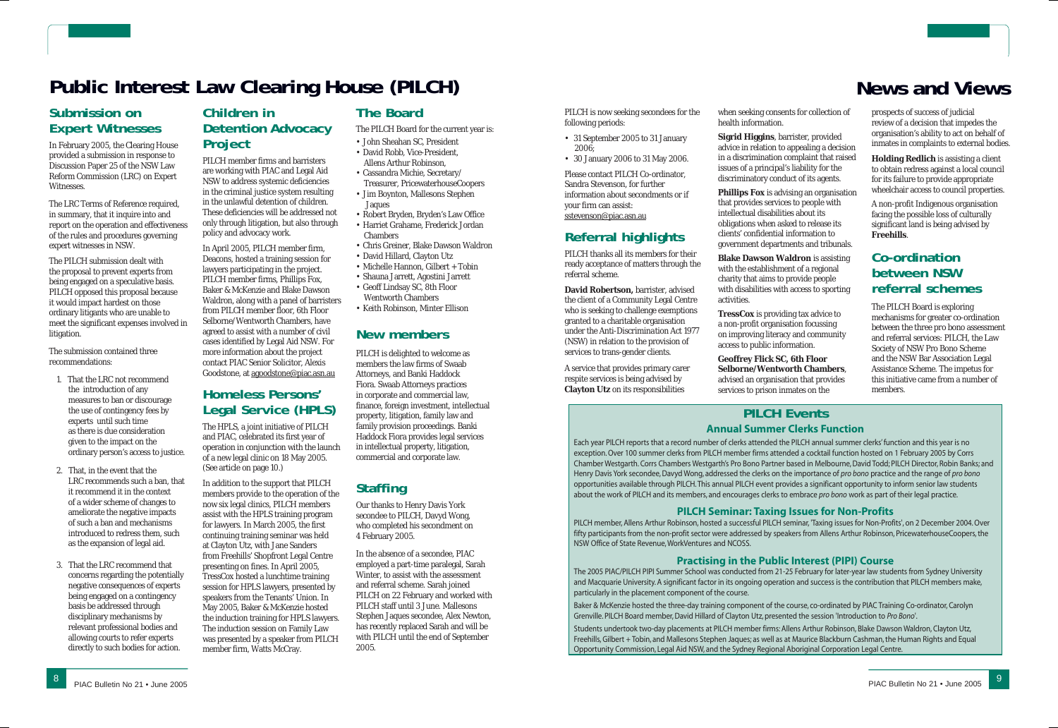# **Public Interest Law Clearing House (PILCH) News and Views News and Views**

### **Submission on Expert Witnesses**

In February 2005, the Clearing House provided a submission in response to Discussion Paper 25 of the NSW Law Reform Commission (LRC) on Expert Witnesses.

The LRC Terms of Reference required, in summary, that it inquire into and report on the operation and effectiveness of the rules and procedures governing expert witnesses in NSW.

The PILCH submission dealt with the proposal to prevent experts from being engaged on a speculative basis. PILCH opposed this proposal because it would impact hardest on those ordinary litigants who are unable to meet the significant expenses involved in litigation.

The submission contained three recommendations:

- 1. That the LRC not recommend the introduction of any measures to ban or discourage the use of contingency fees by experts until such time as there is due consideration given to the impact on the ordinary person's access to justice.
- 2. That, in the event that the LRC recommends such a ban, that it recommend it in the context of a wider scheme of changes to ameliorate the negative impacts of such a ban and mechanisms introduced to redress them, such as the expansion of legal aid.
- 3. That the LRC recommend that concerns regarding the potentially negative consequences of experts being engaged on a contingency basis be addressed through disciplinary mechanisms by relevant professional bodies and allowing courts to refer experts directly to such bodies for action.

#### **Children in Detention Advocacy Project**

PILCH member firms and barristers are working with PIAC and Legal Aid NSW to address systemic deficiencies in the criminal justice system resulting in the unlawful detention of children. These deficiencies will be addressed not only through litigation, but also through policy and advocacy work.

In April 2005, PILCH member firm, Deacons, hosted a training session for lawyers participating in the project. PILCH member firms, Phillips Fox, Baker & McKenzie and Blake Dawson Waldron, along with a panel of barristers from PILCH member floor, 6th Floor Selborne/Wentworth Chambers, have agreed to assist with a number of civil cases identified by Legal Aid NSW. For more information about the project

contact PIAC Senior Solicitor, Alexis Goodstone, at agoodstone@piac.asn.au

## **Homeless Persons' Legal Service (HPLS)**

The HPLS, a joint initiative of PILCH and PIAC, celebrated its first year of operation in conjunction with the launch of a new legal clinic on 18 May 2005. (See article on page 10.)

In addition to the support that PILCH members provide to the operation of the now six legal clinics, PILCH members assist with the HPLS training program for lawyers. In March 2005, the first continuing training seminar was held at Clayton Utz, with Jane Sanders from Freehills' Shopfront Legal Centre presenting on fines. In April 2005, TressCox hosted a lunchtime training session for HPLS lawyers, presented by speakers from the Tenants' Union. In May 2005, Baker & McKenzie hosted the induction training for HPLS lawyers. The induction session on Family Law was presented by a speaker from PILCH member firm, Watts McCray.

**Phillips Fox** is advising an organisation that provides services to people with intellectual disabilities about its obligations when asked to release its clients' confidential information to government departments and tribunals.

**Blake Dawson Waldron** is assisting with the establishment of a regional charity that aims to provide people with disabilities with access to sporting activities.

**TressCox** is providing tax advice to a non-profit organisation focussing on improving literacy and community access to public information.

## **The Board**

The PILCH Board for the current year is:

- John Sheahan SC, President • David Robb, Vice-President, Allens Arthur Robinson,
- Cassandra Michie, Secretary/
- Treasurer, PricewaterhouseCoopers • Jim Boynton, Mallesons Stephen Jaques
- Robert Bryden, Bryden's Law Office
- Harriet Grahame, Frederick Jordan
- **Chambers**
- Chris Greiner, Blake Dawson Waldron
- David Hillard, Clayton Utz
- Michelle Hannon, Gilbert + Tobin
- Shauna Jarrett, Agostini Jarrett
- Geoff Lindsay SC, 8th Floor Wentworth Chambers
- Keith Robinson, Minter Ellison

## **New members**

PILCH is delighted to welcome as members the law firms of Swaab Attorneys, and Banki Haddock Fiora. Swaab Attorneys practices in corporate and commercial law, finance, foreign investment, intellectual property, litigation, family law and family provision proceedings. Banki Haddock Fiora provides legal services in intellectual property, litigation, commercial and corporate law.

## **Staffing**

Our thanks to Henry Davis York secondee to PILCH, Davyd Wong, who completed his secondment on 4 February 2005.

In the absence of a secondee, PIAC employed a part-time paralegal, Sarah Winter, to assist with the assessment and referral scheme. Sarah joined PILCH on 22 February and worked with PILCH staff until 3 June. Mallesons Stephen Jaques secondee, Alex Newton, has recently replaced Sarah and will be with PILCH until the end of September 2005.

PILCH is now seeking secondees for the following periods:

- 31 September 2005 to 31 January 2006;
- 30 January 2006 to 31 May 2006.

Please contact PILCH Co-ordinator, Sandra Stevenson, for further information about secondments or if your firm can assist: sstevenson@piac.asn.au

### **Referral highlights**

PILCH thanks all its members for their ready acceptance of matters through the referral scheme.

**David Robertson,** barrister, advised the client of a Community Legal Centre who is seeking to challenge exemptions granted to a charitable organisation under the *Anti-Discrimination Act 1977* (NSW) in relation to the provision of services to trans-gender clients.

A service that provides primary carer respite services is being advised by **Clayton Utz** on its responsibilities

when seeking consents for collection of health information.

**Sigrid Higgins**, barrister, provided advice in relation to appealing a decision in a discrimination complaint that raised issues of a principal's liability for the discriminatory conduct of its agents.

**Geoffrey Flick SC, 6th Floor Selborne/Wentworth Chambers**, advised an organisation that provides services to prison inmates on the

prospects of success of judicial review of a decision that impedes the organisation's ability to act on behalf of inmates in complaints to external bodies.

**Holding Redlich** is assisting a client to obtain redress against a local council for its failure to provide appropriate wheelchair access to council properties.

A non-profit Indigenous organisation facing the possible loss of culturally significant land is being advised by **Freehills**.

#### **Co-ordination between NSW referral schemes**

The PILCH Board is exploring mechanisms for greater co-ordination between the three *pro bono* assessment and referral services: PILCH, the Law Society of NSW Pro Bono Scheme and the NSW Bar Association Legal Assistance Scheme. The impetus for this initiative came from a number of members.

#### **PILCH EventsAnnual Summer Clerks Function**

Each year PILCH reports that a record number of clerks attended the PILCH annual summer clerks' function and this year is no exception. Over 100 summer clerks from PILCH member firms attended a cocktail function hosted on 1 February 2005 by Corrs Chamber Westgarth. Corrs Chambers Westgarth's Pro Bono Partner based in Melbourne, David Todd; PILCH Director, Robin Banks; and Henry Davis York secondee, Davyd Wong, addressed the clerks on the importance of *pro bono* practice and the range of *pro bono* opportunities available through PILCH. This annual PILCH event provides a significant opportunity to inform senior law students about the work of PILCH and its members, and encourages clerks to embrace *pro bono* work as part of their legal practice.

#### **PILCH Seminar: Taxing Issues for Non-Profits**

PILCH member, Allens Arthur Robinson, hosted a successful PILCH seminar, 'Taxing issues for Non-Profits', on 2 December 2004. Over fifty participants from the non-profit sector were addressed by speakers from Allens Arthur Robinson, PricewaterhouseCoopers, the NSW Office of State Revenue, WorkVentures and NCOSS.

#### **Practising in the Public Interest (PIPI) Course**

The 2005 PIAC/PILCH PIPI Summer School was conducted from 21-25 February for later-year law students from Sydney University and Macquarie University. A significant factor in its ongoing operation and success is the contribution that PILCH members make, particularly in the placement component of the course.

Baker & McKenzie hosted the three-day training component of the course, co-ordinated by PIAC Training Co-ordinator, Carolyn Grenville. PILCH Board member, David Hillard of Clayton Utz, presented the session 'Introduction to *Pro Bono*'.

Students undertook two-day placements at PILCH member firms: Allens Arthur Robinson, Blake Dawson Waldron, Clayton Utz, Freehills, Gilbert + Tobin, and Mallesons Stephen Jaques; as well as at Maurice Blackburn Cashman, the Human Rights and Equal Opportunity Commission, Legal Aid NSW, and the Sydney Regional Aboriginal Corporation Legal Centre.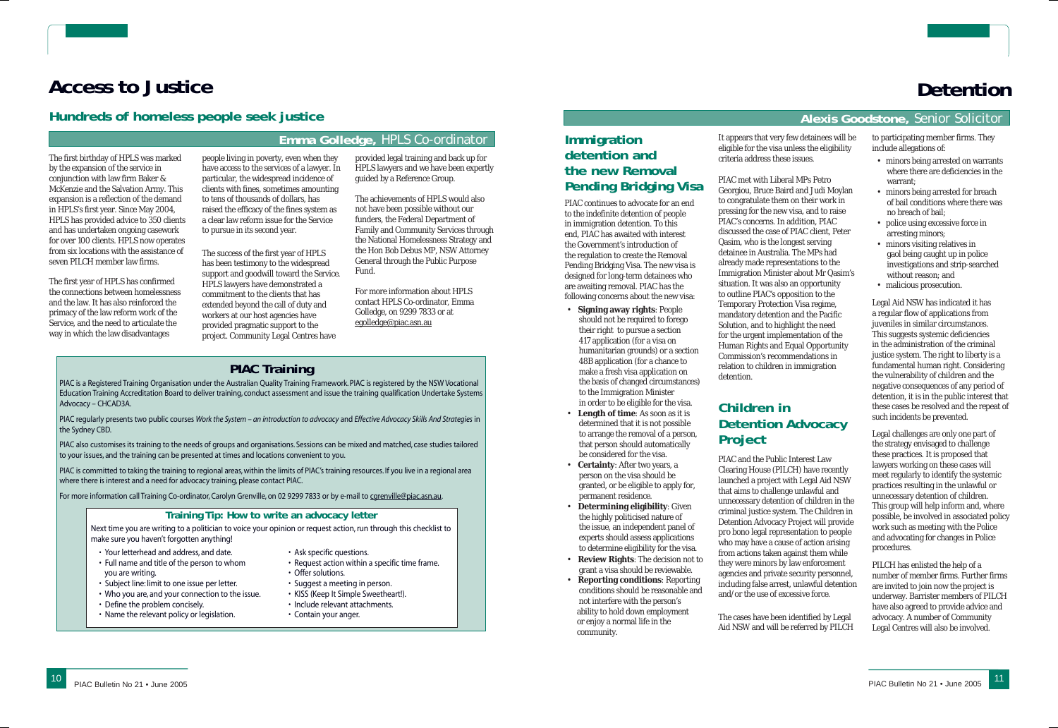The first birthday of HPLS was marked by the expansion of the service in conjunction with law firm Baker & McKenzie and the Salvation Army. This expansion is a reflection of the demand in HPLS's first year. Since May 2004, HPLS has provided advice to 350 clients and has undertaken ongoing casework for over 100 clients. HPLS now operates from six locations with the assistance of seven PILCH member law firms.

The first year of HPLS has confirmed the connections between homelessness and the law. It has also reinforced the primacy of the law reform work of the Service, and the need to articulate the way in which the law disadvantages

people living in poverty, even when they have access to the services of a lawyer. In particular, the widespread incidence of clients with fines, sometimes amounting to tens of thousands of dollars, has raised the efficacy of the fines system as a clear law reform issue for the Service to pursue in its second year.

The success of the first year of HPLS has been testimony to the widespread support and goodwill toward the Service. HPLS lawyers have demonstrated a commitment to the clients that has extended beyond the call of duty and workers at our host agencies have provided pragmatic support to the project. Community Legal Centres have

provided legal training and back up for HPLS lawyers and we have been expertly guided by a Reference Group.

The achievements of HPLS would also not have been possible without our funders, the Federal Department of Family and Community Services through the National Homelessness Strategy and the Hon Bob Debus MP, NSW Attorney General through the Public Purpose Fund.

For more information about HPLS contact HPLS Co-ordinator, Emma Golledge, on 9299 7833 or at egolledge@piac.asn.au

# **Access to Justice**

#### **Emma Golledge,** HPLS Co-ordinator

#### **Hundreds of homeless people seek justice**

## **PIAC Training**

PIAC is a Registered Training Organisation under the Australian Quality Training Framework. PIAC is registered by the NSW Vocational Education Training Accreditation Board to deliver training, conduct assessment and issue the training qualification Undertake Systems Advocacy – CHCAD3A.

PIAC regularly presents two public courses *Work the System – an introduction to advocacy* and *Effective Advocacy Skills And Strategies* in the Sydney CBD.

PIAC also customises its training to the needs of groups and organisations. Sessions can be mixed and matched, case studies tailored to your issues, and the training can be presented at times and locations convenient to you.

PIAC is committed to taking the training to regional areas, within the limits of PIAC's training resources. If you live in a regional area where there is interest and a need for advocacy training, please contact PIAC.

For more information call Training Co-ordinator, Carolyn Grenville, on 02 9299 7833 or by e-mail to corenville@piac.asn.au.

#### **Training Tip: How to write an advocacy letter**

Next time you are writing to a politician to voice your opinion or request action, run through this checklist to make sure you haven't forgotten anything!

- Your letterhead and address, and date.
- Full name and title of the person to whom you are writing.
- Subject line: limit to one issue per letter.
- Who you are, and your connection to the issue.
- Define the problem concisely.
- Name the relevant policy or legislation.
- Ask specific questions.
- Request action within a specific time frame.
- Offer solutions.
- Suggest a meeting in person.
- KISS (Keep It Simple Sweetheart!).
- Include relevant attachments.
- Contain your anger.

# **Detention**

#### **Alexis Goodstone,** Senior Solicitor

#### **Immigration detention and the new Removal Pending Bridging Visa**

PIAC continues to advocate for an end to the indefinite detention of people in immigration detention. To this end, PIAC has awaited with interest the Government's introduction of the regulation to create the Removal Pending Bridging Visa. The new visa is designed for long-term detainees who are awaiting removal. PIAC has the following concerns about the new visa:

- **Signing away rights**: People should not be required to forego their right to pursue a section 417 application (for a visa on humanitarian grounds) or a section 48B application (for a chance to make a fresh visa application on the basis of changed circumstances) to the Immigration Minister in order to be eligible for the visa.
- **Length of time**: As soon as it is determined that it is not possible to arrange the removal of a person, that person should automatically be considered for the visa.
- **Certainty**: After two years, a person on the visa should be granted, or be eligible to apply for, permanent residence.
- **Determining eligibility**: Given the highly politicised nature of the issue, an independent panel of experts should assess applications to determine eligibility for the visa.
- **Review Rights**: The decision not to grant a visa should be reviewable.
- **Reporting conditions**: Reporting conditions should be reasonable and not interfere with the person's ability to hold down employment or enjoy a normal life in the community.

It appears that very few detainees will be eligible for the visa unless the eligibility

criteria address these issues.

PIAC met with Liberal MPs Petro Georgiou, Bruce Baird and Judi Moylan to congratulate them on their work in pressing for the new visa, and to raise PIAC's concerns. In addition, PIAC discussed the case of PIAC client, Peter Qasim, who is the longest serving detainee in Australia. The MPs had already made representations to the Immigration Minister about Mr Qasim's situation. It was also an opportunity to outline PIAC's opposition to the Temporary Protection Visa regime, mandatory detention and the Pacific Solution, and to highlight the need for the urgent implementation of the Human Rights and Equal Opportunity Commission's recommendations in relation to children in immigration detention.

# **Children in Detention Advocacy Project**

PIAC and the Public Interest Law Clearing House (PILCH) have recently launched a project with Legal Aid NSW that aims to challenge unlawful and unnecessary detention of children in the criminal justice system. The Children in Detention Advocacy Project will provide *pro bono* legal representation to people who may have a cause of action arising from actions taken against them while they were minors by law enforcement agencies and private security personnel, including false arrest, unlawful detention and/or the use of excessive force.

The cases have been identified by Legal Aid NSW and will be referred by PILCH to participating member firms. They include allegations of:

- minors being arrested on warrants where there are deficiencies in the warrant;
- minors being arrested for breach of bail conditions where there was no breach of bail;
- police using excessive force in arresting minors;
- minors visiting relatives in gaol being caught up in police investigations and strip-searched without reason; and
- malicious prosecution.

Legal Aid NSW has indicated it has a regular flow of applications from juveniles in similar circumstances. This suggests systemic deficiencies in the administration of the criminal justice system. The right to liberty is a fundamental human right. Considering the vulnerability of children and the negative consequences of any period of detention, it is in the public interest that these cases be resolved and the repeat of such incidents be prevented.

Legal challenges are only one part of the strategy envisaged to challenge these practices. It is proposed that lawyers working on these cases will meet regularly to identify the systemic practices resulting in the unlawful or unnecessary detention of children. This group will help inform and, where possible, be involved in associated policy work such as meeting with the Police and advocating for changes in Police procedures.

PILCH has enlisted the help of a number of member firms. Further firms are invited to join now the project is underway. Barrister members of PILCH have also agreed to provide advice and advocacy. A number of Community Legal Centres will also be involved.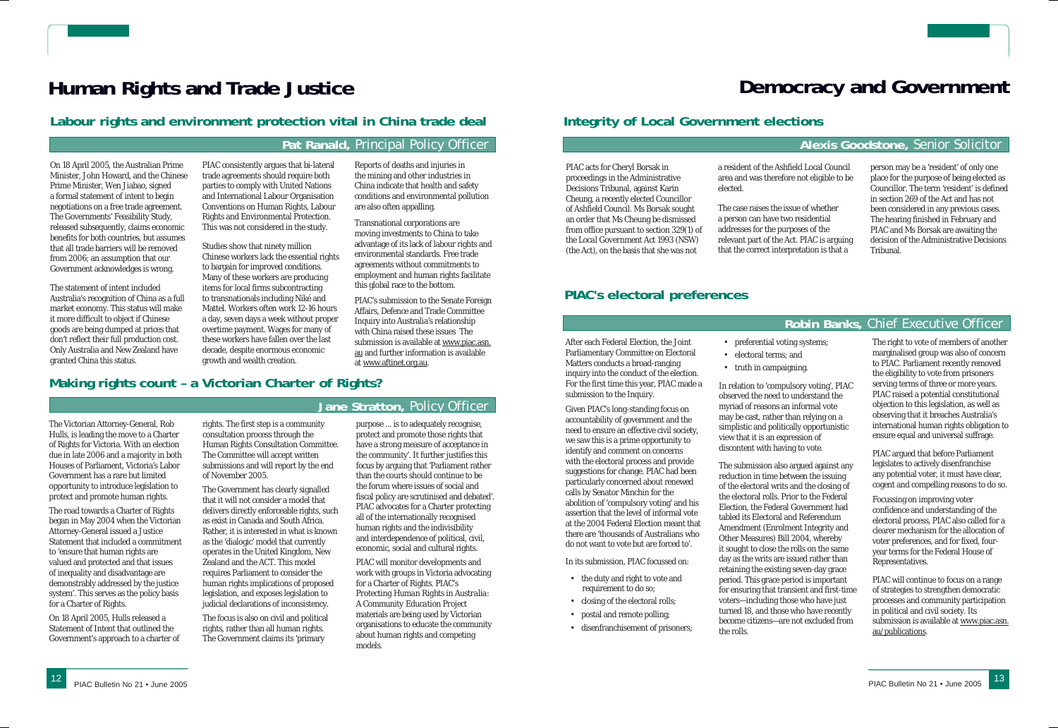On 18 April 2005, the Australian Prime Minister, John Howard, and the Chinese Prime Minister, Wen Jiabao, signed a formal statement of intent to begin negotiations on a free trade agreement. The Governments' Feasibility Study, released subsequently, claims economic benefits for both countries, but assumes that all trade barriers will be removed from 2006; an assumption that our Government acknowledges is wrong.

The statement of intent included Australia's recognition of China as a full market economy. This status will make it more difficult to object if Chinese goods are being dumped at prices that don't reflect their full production cost. Only Australia and New Zealand have granted China this status.

PIAC consistently argues that bi-lateral trade agreements should require both parties to comply with United Nations and International Labour Organisation Conventions on Human Rights, Labour Rights and Environmental Protection. This was not considered in the study.

> PIAC's submission to the Senate Foreign Affairs, Defence and Trade Committee Inquiry into Australia's relationship with China raised these issues The submission is available at www.piac.asn. <u>au</u> and further information is available

Studies show that ninety million Chinese workers lack the essential rights to bargain for improved conditions. Many of these workers are producing items for local firms subcontracting to transnationals including Niké and Mattel. Workers often work 12-16 hours a day, seven days a week without proper overtime payment. Wages for many of these workers have fallen over the last decade, despite enormous economic growth and wealth creation.

Reports of deaths and injuries in the mining and other industries in China indicate that health and safety conditions and environmental pollution

are also often appalling.

Transnational corporations are moving investments to China to take advantage of its lack of labour rights and environmental standards. Free trade agreements without commitments to employment and human rights facilitate

this global race to the bottom.

at www.aftinet.org.au.

# **Human Rights and Trade Justice**

#### **Pat Ranald,** Principal Policy Officer

### **Labour rights and environment protection vital in China trade deal**

**Jane Stratton,** Policy Officer

#### **Making rights count – a Victorian Charter of Rights?**

The Victorian Attorney-General, Rob Hulls, is leading the move to a Charter of Rights for Victoria. With an election due in late 2006 and a majority in both Houses of Parliament, Victoria's Labor Government has a rare but limited opportunity to introduce legislation to protect and promote human rights.

The road towards a Charter of Rights began in May 2004 when the Victorian Attorney-General issued a Justice Statement that included a commitment to 'ensure that human rights are valued and protected and that issues of inequality and disadvantage are demonstrably addressed by the justice system'. This serves as the policy basis for a Charter of Rights.

On 18 April 2005, Hulls released a Statement of Intent that outlined the Government's approach to a charter of rights. The first step is a community consultation process through the Human Rights Consultation Committee. The Committee will accept written submissions and will report by the end of November 2005.

The Government has clearly signalled that it will not consider a model that delivers directly enforceable rights, such as exist in Canada and South Africa. Rather, it is interested in what is known as the 'dialogic' model that currently operates in the United Kingdom, New Zealand and the ACT. This model requires Parliament to consider the human rights implications of proposed legislation, and exposes legislation to judicial declarations of inconsistency.

The focus is also on civil and political rights, rather than all human rights. The Government claims its 'primary

The submission also argued against any reduction in time between the issuing of the electoral writs and the closing of the electoral rolls. Prior to the Federal Election, the Federal Government had tabled its Electoral and Referendum Amendment (Enrolment Integrity and Other Measures) Bill 2004, whereby it sought to close the rolls on the same day as the writs are issued rather than retaining the existing seven-day grace period. This grace period is important for ensuring that transient and first-time voters—including those who have just turned 18, and those who have recently become citizens—are not excluded from the rolls.

purpose ... is to adequately recognise, protect and promote those rights that have a strong measure of acceptance in the community'. It further justifies this focus by arguing that 'Parliament rather than the courts should continue to be the forum where issues of social and fiscal policy are scrutinised and debated'. PIAC advocates for a Charter protecting all of the internationally recognised human rights and the indivisibility and interdependence of political, civil, economic, social and cultural rights.

PIAC will monitor developments and work with groups in Victoria advocating for a Charter of Rights. PIAC's *Protecting Human Rights in Australia: A Community Education Project*  materials are being used by Victorian organisations to educate the community about human rights and competing models.

PIAC acts for Cheryl Borsak in proceedings in the Administrative Decisions Tribunal, against Karin Cheung, a recently elected Councillor of Ashfield Council. Ms Borsak sought an order that Ms Cheung be dismissed from office pursuant to section 329(1) of the *Local Government Act 1993* (NSW) (the Act), on the basis that she was not

a resident of the Ashfield Local Council area and was therefore not eligible to be elected.

The case raises the issue of whether a person can have two residential addresses for the purposes of the relevant part of the Act. PIAC is arguing that the correct interpretation is that a

person may be a 'resident' of only one place for the purpose of being elected as Councillor. The term 'resident' is defined in section 269 of the Act and has not been considered in any previous cases. The hearing finished in February and PIAC and Ms Borsak are awaiting the decision of the Administrative Decisions Tribunal.

# **Democracy and Government**

#### **Alexis Goodstone,** Senior Solicitor

## **Integrity of Local Government elections**

#### **Robin Banks,** Chief Executive Officer

### **PIAC's electoral preferences**

After each Federal Election, the Joint Parliamentary Committee on Electoral Matters conducts a broad-ranging inquiry into the conduct of the election. For the first time this year, PIAC made a submission to the Inquiry.

Given PIAC's long-standing focus on accountability of government and the need to ensure an effective civil society, we saw this is a prime opportunity to identify and comment on concerns with the electoral process and provide suggestions for change. PIAC had been particularly concerned about renewed calls by Senator Minchin for the abolition of 'compulsory voting' and his assertion that the level of informal vote at the 2004 Federal Election meant that there are 'thousands of Australians who do not want to vote but are forced to'.

In its submission, PIAC focussed on:

- the duty and right to vote and requirement to do so;
- closing of the electoral rolls; • postal and remote polling;
- disenfranchisement of prisoners;

• preferential voting systems;

- electoral terms; and
- truth in campaigning.

In relation to 'compulsory voting', PIAC observed the need to understand the myriad of reasons an informal vote may be cast, rather than relying on a simplistic and politically opportunistic view that it is an expression of discontent with having to vote.

The right to vote of members of another marginalised group was also of concern to PIAC. Parliament recently removed the eligibility to vote from prisoners serving terms of three or more years. PIAC raised a potential constitutional objection to this legislation, as well as observing that it breaches Australia's international human rights obligation to ensure equal and universal suffrage.

PIAC argued that before Parliament legislates to actively disenfranchise any potential voter, it must have clear, cogent and compelling reasons to do so.

Focussing on improving voter confidence and understanding of the electoral process, PIAC also called for a clearer mechanism for the allocation of voter preferences, and for fixed, fouryear terms for the Federal House of Representatives.

PIAC will continue to focus on a range of strategies to strengthen democratic processes and community participation in political and civil society. Its submission is available at www.piac.asn. au/publications.